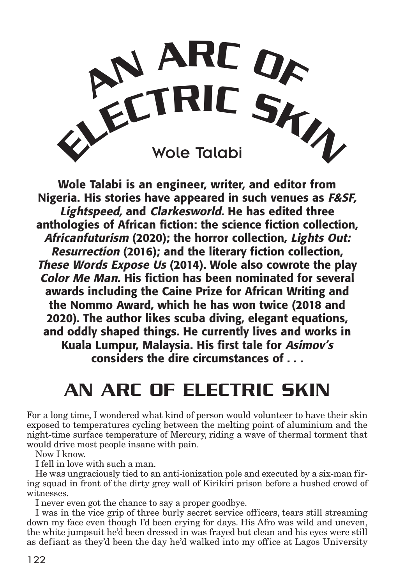

**Wole Talabi is an engineer, writer, and editor from Nigeria. His stories have appeared in such venues as F&SF, Lightspeed, and Clarkesworld. He has edited three anthologies of African fiction: the science fiction collection, Africanfuturism (2020); the horror collection, Lights Out: Resurrection (2016); and the literary fiction collection, These Words Expose Us (2014). Wole also cowrote the play Color Me Man. His fiction has been nominated for several awards including the Caine Prize for African Writing and the Nommo Award, which he has won twice (2018 and 2020). The author likes scuba diving, elegant equations, and oddly shaped things. He currently lives and works in Kuala Lumpur, Malaysia. His first tale for Asimov's considers the dire circumstances of . . .**

# **AN ARC OF ELECTRIC SKIN**

For a long time, I wondered what kind of person would volunteer to have their skin exposed to temperatures cycling between the melting point of aluminium and the night-time surface temperature of Mercury, riding a wave of thermal torment that would drive most people insane with pain.

Now I know.

I fell in love with such a man.

He was ungraciously tied to an anti-ionization pole and executed by a six-man firing squad in front of the dirty grey wall of Kirikiri prison before a hushed crowd of witnesses.

I never even got the chance to say a proper goodbye.

I was in the vice grip of three burly secret service officers, tears still streaming down my face even though I'd been crying for days. His Afro was wild and uneven, the white jumpsuit he'd been dressed in was frayed but clean and his eyes were still as defiant as they'd been the day he'd walked into my office at Lagos University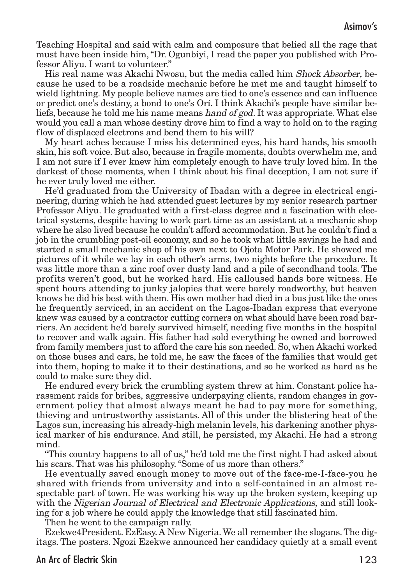Teaching Hospital and said with calm and composure that belied all the rage that must have been inside him,"Dr. Ogunbiyi, I read the paper you published with Professor Aliyu. I want to volunteer."

His real name was Akachi Nwosu, but the media called him Shock Absorber, because he used to be a roadside mechanic before he met me and taught himself to wield lightning. My people believe names are tied to one's essence and can influence or predict one's destiny, a bond to one's Orí. I think Akachi's people have similar beliefs, because he told me his name means hand of god. It was appropriate.What else would you call a man whose destiny drove him to find a way to hold on to the raging flow of displaced electrons and bend them to his will?

My heart aches because I miss his determined eyes, his hard hands, his smooth skin, his soft voice. But also, because in fragile moments, doubts overwhelm me, and I am not sure if I ever knew him completely enough to have truly loved him. In the darkest of those moments, when I think about his final deception, I am not sure if he ever truly loved me either.

He'd graduated from the University of Ibadan with a degree in electrical engineering, during which he had attended guest lectures by my senior research partner Professor Aliyu. He graduated with a first-class degree and a fascination with electrical systems, despite having to work part time as an assistant at a mechanic shop where he also lived because he couldn't afford accommodation. But he couldn't find a job in the crumbling post-oil economy, and so he took what little savings he had and started a small mechanic shop of his own next to Ojota Motor Park. He showed me pictures of it while we lay in each other's arms, two nights before the procedure. It was little more than a zinc roof over dusty land and a pile of secondhand tools. The profits weren't good, but he worked hard. His calloused hands bore witness. He spent hours attending to junky jalopies that were barely roadworthy, but heaven knows he did his best with them. His own mother had died in a bus just like the ones he frequently serviced, in an accident on the Lagos-Ibadan express that everyone knew was caused by a contractor cutting corners on what should have been road barriers. An accident he'd barely survived himself, needing five months in the hospital to recover and walk again. His father had sold everything he owned and borrowed from family members just to afford the care his son needed. So, when Akachi worked on those buses and cars, he told me, he saw the faces of the families that would get into them, hoping to make it to their destinations, and so he worked as hard as he could to make sure they did.

He endured every brick the crumbling system threw at him. Constant police harassment raids for bribes, aggressive underpaying clients, random changes in government policy that almost always meant he had to pay more for something, thieving and untrustworthy assistants. All of this under the blistering heat of the Lagos sun, increasing his already-high melanin levels, his darkening another physical marker of his endurance. And still, he persisted, my Akachi. He had a strong mind.

"This country happens to all of us," he'd told me the first night I had asked about his scars. That was his philosophy. "Some of us more than others."

He eventually saved enough money to move out of the face-me-I-face-you he shared with friends from university and into a self-contained in an almost respectable part of town. He was working his way up the broken system, keeping up with the Nigerian Journal of Electrical and Electronic Applications, and still looking for a job where he could apply the knowledge that still fascinated him.

Then he went to the campaign rally.

Ezekwe4President. EzEasy. A New Nigeria.We all remember the slogans.The digitags. The posters. Ngozi Ezekwe announced her candidacy quietly at a small event

### An Arc of Electric Skin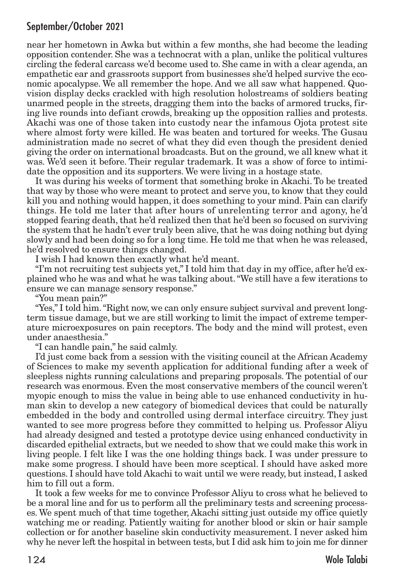# September/October 2021

near her hometown in Awka but within a few months, she had become the leading opposition contender. She was a technocrat with a plan, unlike the political vultures circling the federal carcass we'd become used to. She came in with a clear agenda, an empathetic ear and grassroots support from businesses she'd helped survive the economic apocalypse. We all remember the hope. And we all saw what happened. Quovision display decks crackled with high resolution holostreams of soldiers beating unarmed people in the streets, dragging them into the backs of armored trucks, firing live rounds into defiant crowds, breaking up the opposition rallies and protests. Akachi was one of those taken into custody near the infamous Ojota protest site where almost forty were killed. He was beaten and tortured for weeks. The Gusau administration made no secret of what they did even though the president denied giving the order on international broadcasts. But on the ground, we all knew what it was. We'd seen it before. Their regular trademark. It was a show of force to intimidate the opposition and its supporters. We were living in a hostage state.

It was during his weeks of torment that something broke in Akachi. To be treated that way by those who were meant to protect and serve you, to know that they could kill you and nothing would happen, it does something to your mind. Pain can clarify things. He told me later that after hours of unrelenting terror and agony, he'd stopped fearing death, that he'd realized then that he'd been so focused on surviving the system that he hadn't ever truly been alive, that he was doing nothing but dying slowly and had been doing so for a long time. He told me that when he was released, he'd resolved to ensure things changed.

I wish I had known then exactly what he'd meant.

"I'm not recruiting test subjects yet," I told him that day in my office, after he'd explained who he was and what he was talking about."We still have a few iterations to ensure we can manage sensory response."

"You mean pain?"

"Yes," I told him."Right now, we can only ensure subject survival and prevent longterm tissue damage, but we are still working to limit the impact of extreme temperature microexposures on pain receptors. The body and the mind will protest, even under anaesthesia."

"I can handle pain," he said calmly.

I'd just come back from a session with the visiting council at the African Academy of Sciences to make my seventh application for additional funding after a week of sleepless nights running calculations and preparing proposals. The potential of our research was enormous. Even the most conservative members of the council weren't myopic enough to miss the value in being able to use enhanced conductivity in human skin to develop a new category of biomedical devices that could be naturally embedded in the body and controlled using dermal interface circuitry. They just wanted to see more progress before they committed to helping us. Professor Aliyu had already designed and tested a prototype device using enhanced conductivity in discarded epithelial extracts, but we needed to show that we could make this work in living people. I felt like I was the one holding things back. I was under pressure to make some progress. I should have been more sceptical. I should have asked more questions. I should have told Akachi to wait until we were ready, but instead, I asked him to fill out a form.

It took a few weeks for me to convince Professor Aliyu to cross what he believed to be a moral line and for us to perform all the preliminary tests and screening processes. We spent much of that time together, Akachi sitting just outside my office quietly watching me or reading. Patiently waiting for another blood or skin or hair sample collection or for another baseline skin conductivity measurement. I never asked him why he never left the hospital in between tests, but I did ask him to join me for dinner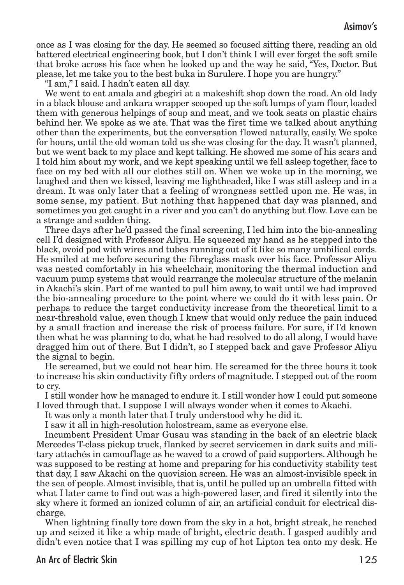## Asimov's

once as I was closing for the day. He seemed so focused sitting there, reading an old battered electrical engineering book, but I don't think I will ever forget the soft smile that broke across his face when he looked up and the way he said, "Yes, Doctor. But please, let me take you to the best buka in Surulere. I hope you are hungry."

"I am," I said. I hadn't eaten all day.

We went to eat amala and gbegiri at a makeshift shop down the road. An old lady in a black blouse and ankara wrapper scooped up the soft lumps of yam flour, loaded them with generous helpings of soup and meat, and we took seats on plastic chairs behind her. We spoke as we ate. That was the first time we talked about anything other than the experiments, but the conversation flowed naturally, easily. We spoke for hours, until the old woman told us she was closing for the day. It wasn't planned, but we went back to my place and kept talking. He showed me some of his scars and I told him about my work, and we kept speaking until we fell asleep together, face to face on my bed with all our clothes still on. When we woke up in the morning, we laughed and then we kissed, leaving me lightheaded, like I was still asleep and in a dream. It was only later that a feeling of wrongness settled upon me. He was, in some sense, my patient. But nothing that happened that day was planned, and sometimes you get caught in a river and you can't do anything but flow. Love can be a strange and sudden thing.

Three days after he'd passed the final screening, I led him into the bio-annealing cell I'd designed with Professor Aliyu. He squeezed my hand as he stepped into the black, ovoid pod with wires and tubes running out of it like so many umbilical cords. He smiled at me before securing the fibreglass mask over his face. Professor Aliyu was nested comfortably in his wheelchair, monitoring the thermal induction and vacuum pump systems that would rearrange the molecular structure of the melanin in Akachi's skin. Part of me wanted to pull him away, to wait until we had improved the bio-annealing procedure to the point where we could do it with less pain. Or perhaps to reduce the target conductivity increase from the theoretical limit to a near-threshold value, even though I knew that would only reduce the pain induced by a small fraction and increase the risk of process failure. For sure, if I'd known then what he was planning to do, what he had resolved to do all along, I would have dragged him out of there. But I didn't, so I stepped back and gave Professor Aliyu the signal to begin.

He screamed, but we could not hear him. He screamed for the three hours it took to increase his skin conductivity fifty orders of magnitude. I stepped out of the room to cry.

I still wonder how he managed to endure it. I still wonder how I could put someone I loved through that. I suppose I will always wonder when it comes to Akachi.

It was only a month later that I truly understood why he did it.

I saw it all in high-resolution holostream, same as everyone else.

Incumbent President Umar Gusau was standing in the back of an electric black Mercedes T-class pickup truck, flanked by secret servicemen in dark suits and military attachés in camouflage as he waved to a crowd of paid supporters. Although he was supposed to be resting at home and preparing for his conductivity stability test that day, I saw Akachi on the quovision screen. He was an almost-invisible speck in the sea of people. Almost invisible, that is, until he pulled up an umbrella fitted with what I later came to find out was a high-powered laser, and fired it silently into the sky where it formed an ionized column of air, an artificial conduit for electrical discharge.

When lightning finally tore down from the sky in a hot, bright streak, he reached up and seized it like a whip made of bright, electric death. I gasped audibly and didn't even notice that I was spilling my cup of hot Lipton tea onto my desk. He

### An Arc of Electric Skin